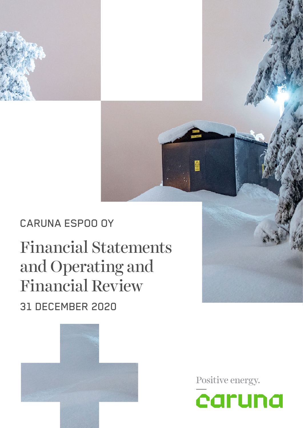

# Financial Statements and Operating and Financial Review 31 DECEMBER 2020



Positive energy.

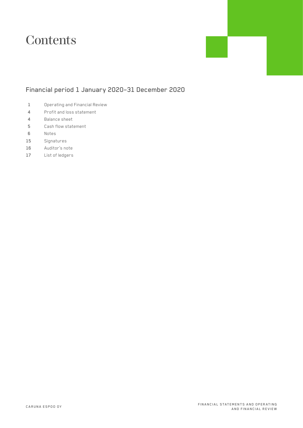## **Contents**

### Financial period 1 January 2020–31 December 2020

- Operating and Financial Review
- Profit and loss statement
- Balance sheet
- Cash flow statement
- Notes
- Signatures
- Auditor's note
- List of ledgers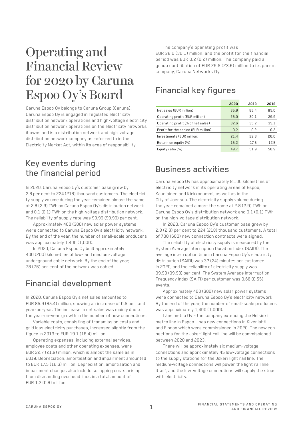## Operating and Financial Review for 2020 by Caruna Espoo Oy's Board

Caruna Espoo Oy belongs to Caruna Group (Caruna). Caruna Espoo Oy is engaged in regulated electricity distribution network operations and high-voltage electricity distribution network operations on the electricity networks it owns and is a distribution network and high-voltage distribution network company as referred to in the Electricity Market Act, within its area of responsibility.

### Key events during the financial period

In 2020, Caruna Espoo Oy's customer base grew by 2.8 per cent to 224 (218) thousand customers. The electricity supply volume during the year remained almost the same at 2.8 (2.9) TWh on Caruna Espoo Oy's distribution network and 0.1 (0.1) TWh on the high-voltage distribution network. The reliability of supply rate was 99.99 (99.99) per cent.

Approximately 400 (300) new solar power systems were connected to Caruna Espoo Oy's electricity network. By the end of the year, the number of small-scale producers was approximately 1,400 (1,000).

In 2020, Caruna Espoo Oy built approximately 400 (200) kilometres of low- and medium-voltage underground cable network. By the end of the year, 78 (76) per cent of the network was cabled.

### Financial development

In 2020, Caruna Espoo Oy's net sales amounted to EUR 85.9 (85.4) million, showing an increase of 0.5 per cent year-on-year. The increase in net sales was mainly due to the year-on-year growth in the number of new connections.

Variable costs, consisting of transmission costs and grid loss electricity purchases, increased slightly from the figure in 2019 to EUR 19.1 (18.4) million.

Operating expenses, including external services, employee costs and other operating expenses, were EUR 22.7 (21.9) million, which is almost the same as in 2019. Depreciation, amortisation and impairment amounted to EUR 17.5 (16.3) million. Depreciation, amortisation and impairment charges also include scrapping costs arising from dismantling overhead lines in a total amount of EUR 1.2 (0.6) million.

The company's operating profit was EUR 28.0 (30.1) million, and the profit for the financial period was EUR 0.2 (0.2) million. The company paid a group contribution of EUR 29.5 (23.6) million to its parent company, Caruna Networks Oy.

### Financial key figures

|                                     | 2020          | 2019 | 2018 |
|-------------------------------------|---------------|------|------|
| Net sales (EUR million)             | 85.9          | 85.4 | 85.0 |
| Operating profit (EUR million)      | 28.0          | 30.1 | 29.9 |
| Operating profit (% of net sales)   | 32.6          | 35.2 | 35.1 |
| Profit for the period (EUR million) | $0.2^{\circ}$ | 0.2  | 0.2  |
| Investments (EUR million)           | 21.4          | 22.8 | 26.0 |
| Return on equity (%)                | 16.2          | 17.5 | 17.5 |
| Equity ratio (%)                    | 49.7          | 51.9 | 50.9 |

### Business activities

Caruna Espoo Oy has approximately 8,100 kilometres of electricity network in its operating areas of Espoo, Kauniainen and Kirkkonummi, as well as in the City of Joensuu. The electricity supply volume during the year remained almost the same at 2.8 (2.9) TWh on Caruna Espoo Oy's distribution network and 0.1 (0.1) TWh on the high-voltage distribution network.

In 2020, Caruna Espoo Oy's customer base grew by 2.8 (2.8) per cent to 224 (218) thousand customers. A total of 700 (600) new connection contracts were signed.

The reliability of electricity supply is measured by the System Average Interruption Duration Index (SAIDI). The average interruption time in Caruna Espoo Oy's electricity distribution (SAIDI) was 32 (24) minutes per customer in 2020, and the reliability of electricity supply was 99.99 (99.99) per cent. The System Average Interruption Frequency Index (SAIFI) per customer was 0.66 (0.55) events.

Approximately 400 (300) new solar power systems were connected to Caruna Espoo Oy's electricity network. By the end of the year, the number of small-scale producers was approximately 1,400 (1,000).

Länsimetro Oy – the company extending the Helsinki metro line in Espoo – has new connections in Kivenlahti and Finnoo which were commissioned in 2020. The new connections for the Jokeri light rail line will be commissioned between 2020 and 2023.

There will be approximately six medium-voltage connections and approximately 45 low-voltage connections to the supply stations for the Jokeri light rail line. The medium-voltage connections will power the light rail line itself, and the low-voltage connections will supply the stops with electricity.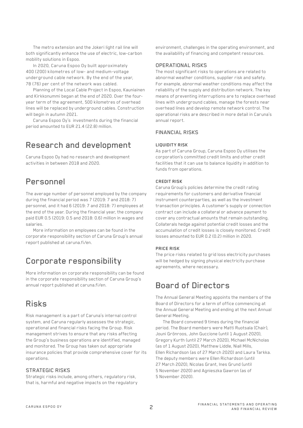The metro extension and the Jokeri light rail line will both significantly enhance the use of electric, low-carbon mobility solutions in Espoo.

In 2020, Caruna Espoo Oy built approximately 400 (200) kilometres of low- and medium-voltage underground cable network. By the end of the year, 78 (76) per cent of the network was cabled.

Planning of the Local Cable Project in Espoo, Kauniainen and Kirkkonummi began at the end of 2020. Over the fouryear term of the agreement, 500 kilometres of overhead lines will be replaced by underground cables. Construction will begin in autumn 2021.

Caruna Espoo Oy's investments during the financial period amounted to EUR 21.4 (22.8) million.

### Research and development

Caruna Espoo Oy had no research and development activities in between 2018 and 2020.

### Personnel

The average number of personnel employed by the company during the financial period was 7 (2019: 7 and 2018: 7) personnel, and it had 6 (2019: 7 and 2018: 7) employees at the end of the year. During the financial year, the company paid EUR 0.5 (2019: 0.5 and 2018: 0.6) million in wages and salaries.

More information on employees can be found in the corporate responsibility section of Caruna Group's annual report published at caruna.fi/en.

### Corporate responsibility

More information on corporate responsibility can be found in the corporate responsibility section of Caruna Group's annual report published at caruna.fi/en.

### Risks

Risk management is a part of Caruna's internal control system, and Caruna regularly assesses the strategic, operational and financial risks facing the Group. Risk management strives to ensure that any risks affecting the Group's business operations are identified, managed and monitored. The Group has taken out appropriate insurance policies that provide comprehensive cover for its operations.

#### STRATEGIC RISKS

Strategic risks include, among others, regulatory risk, that is, harmful and negative impacts on the regulatory environment, challenges in the operating environment, and the availability of financing and competent resources.

#### OPERATIONAL RISKS

The most significant risks to operations are related to abnormal weather conditions, supplier risk and safety. For example, abnormal weather conditions may affect the reliability of the supply and distribution network. The key means of preventing interruptions are to replace overhead lines with underground cables, manage the forests near overhead lines and develop remote network control. The operational risks are described in more detail in Caruna's annual report.

#### FINANCIAL RISKS

#### **LIQUIDITY RISK**

As part of Caruna Group, Caruna Espoo Oy utilises the corporation's committed credit limits and other credit facilities that it can use to balance liquidity in addition to funds from operations.

#### **CREDIT RISK**

Caruna Group's policies determine the credit rating requirements for customers and derivative financial instrument counterparties, as well as the investment transaction principles. A customer's supply or connection contract can include a collateral or advance payment to cover any contractual amounts that remain outstanding. Collaterals hedge against potential credit losses and the accumulation of credit losses is closely monitored. Credit losses amounted to EUR 0.2 (0.2) million in 2020.

#### **PRICE RISK**

The price risks related to grid loss electricity purchases will be hedged by signing physical electricity purchase agreements, where necessary.

### Board of Directors

The Annual General Meeting appoints the members of the Board of Directors for a term of office commencing at the Annual General Meeting and ending at the next Annual General Meeting.

The Board convened 9 times during the financial period. The Board members were Matti Ruotsala (Chair), Jouni Grönroos, John Guccione (until 1 August 2020), Gregory Kurth (until 27 March 2020), Michael McNicholas (as of 1 August 2020), Matthew Liddle, Niall Mills, Ellen Richardson (as of 27 March 2020) and Laura Tarkka. The deputy members were Ellen Richardson (until 27 March 2020), Nicolas Grant, Ines Grund (until 5 November 2020) and Agnieszka Gawron (as of 5 November 2020).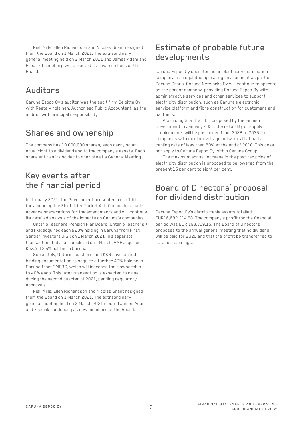Niall Mills, Ellen Richardson and Nicolas Grant resigned from the Board on 1 March 2021. The extraordinary general meeting held on 2 March 2021 and James Adam and Fredrik Lundeborg were elected as new members of the Board.

### Auditors

Caruna Espoo Oy's auditor was the audit firm Deloitte Oy, with Reeta Virolainen, Authorised Public Accountant, as the auditor with principal responsibility.

### Shares and ownership

The company has 10,000,000 shares, each carrying an equal right to a dividend and to the company's assets. Each share entitles its holder to one vote at a General Meeting.

### Key events after the financial period

In January 2021, the Government presented a draft bill for amending the Electricity Market Act. Caruna has made advance preparations for the amendments and will continue its detailed analysis of the impacts on Caruna's companies.

Ontario Teachers' Pension Plan Board (Ontario Teachers') and KKR acquired each a 20% holding in Caruna from First Sentier Investors (FSI) on 1 March 2021. In a separate transaction that also completed on 1 March, AMF acquired Keva's 12.5% holding in Caruna.

Separately, Ontario Teachers' and KKR have signed binding documentation to acquire a further 40% holding in Caruna from OMERS, which will increase their ownership to 40% each. This later transaction is expected to close during the second quarter of 2021, pending regulatory approvals.

Niall Mills, Ellen Richardson and Nicolas Grant resigned from the Board on 1 March 2021. The extraordinary general meeting held on 2 March 2021 elected James Adam and Fredrik Lundeborg as new members of the Board.

### Estimate of probable future developments

Caruna Espoo Oy operates as an electricity distribution company in a regulated operating environment as part of Caruna Group. Caruna Networks Oy will continue to operate as the parent company, providing Caruna Espoo Oy with administrative services and other services to support electricity distribution, such as Caruna's electronic service platform and fibre construction for customers and partners.

According to a draft bill proposed by the Finnish Government in January 2021, the reliability of supply requirements will be postponed from 2028 to 2036 for companies with medium-voltage networks that had a cabling rate of less than 60% at the end of 2018. This does not apply to Caruna Espoo Oy within Caruna Group.

The maximum annual increase in the post-tax price of electricity distribution is proposed to be lowered from the present 15 per cent to eight per cent.

### Board of Directors' proposal for dividend distribution

Caruna Espoo Oy's distributable assets totalled EUR16,682,314.88. The company's profit for the financial period was EUR 198,369.15. The Board of Directors proposes to the annual general meeting that no dividend will be paid for 2020 and that the profit be transferred to retained earnings.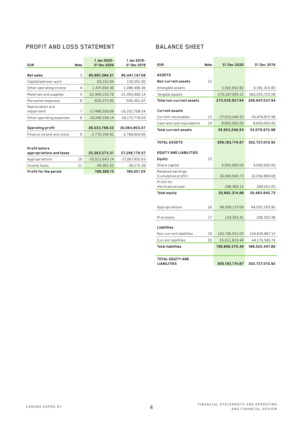### **PROFIT AND LOSS STATEMENT**

| <b>EUR</b>                     | Note | 1 Jan 2020-<br>31 Dec 2020 | 1 Jan 2019-<br>31 Dec 2019 |
|--------------------------------|------|----------------------------|----------------------------|
|                                |      |                            |                            |
| Net sales                      | 3    | 85,887,384.51              | 85,441,147.09              |
| Capitalised own work           |      | 63.152.94                  | 130,591.00                 |
| Other operating income         | 4    | 1,437,494.30               | 1,086,496.36               |
| Materials and supplies         | 5    | $-22,999,155.76$           | $-21,493,482.14$           |
| Personnel expenses             | 6    | $-620,272.95$              | $-595.461.67$              |
| Depreciation and<br>impairment | 7    | -17,488,326.68             | $-16,331,708.54$           |
| Other operating expenses       | 8    | $-18,246,508.14$           | $-18,172,779.03$           |
| <b>Operating profit</b>        |      | 28,033,768.22              | 30,064,803.07              |
| Finance income and costs       | 9    | $-2,770,194.91$            | $-2,768,624.00$            |
|                                |      |                            |                            |
| <b>Profit before</b>           |      |                            |                            |
| appropriations and taxes       |      | 25,263,573.31              | 27,296,179.07              |
| Appropriations                 | 10   | $-25,015,843.14$           | $-27,067,952.63$           |
| Income taxes                   | 11   | $-49,361.02$               | $-39,175.39$               |
| Profit for the period          |      | 198,369.15                 | 189,051.05                 |

#### **BALANCE SHEET**

| <b>EUR</b>                      | Note | 31 Dec 2020      | 31 Dec 2019    |
|---------------------------------|------|------------------|----------------|
|                                 |      |                  |                |
| <b>ASSETS</b>                   |      |                  |                |
| Non-current assets              | 12   |                  |                |
| Intangible assets               |      | 3,362,832.82     | 4,391,315.85   |
| Tangible assets                 |      | 270,167,095.12   | 265,255,722.09 |
| Total non-current assets        |      | 273,529,927.94   | 269,647,037.94 |
| <b>Current assets</b>           |      |                  |                |
| Current receivables             | 13   | 27,053,246.93    | 24,479,972.98  |
| Cash and cash equivalents       | 14   | 8,600,000.00     | 8,600,000.00   |
| Total current assets            |      | 35,653,246.93    | 33,079,972.98  |
|                                 |      |                  |                |
| <b>TOTAL ASSETS</b>             |      | 309,183,174.87   | 302,727,010.92 |
| <b>EQUITY AND LIABILITIES</b>   |      |                  |                |
| Equity                          | 15   |                  |                |
| Share capital                   |      | 4,000,000.00     | 4,000,000.00   |
| Retained earnings               |      |                  |                |
| (cumulative profit)             |      | 16,483,945.73    | 16,294,894.68  |
| Profit for                      |      |                  |                |
| the financial year              |      | 198,369.15       | 189,051.05     |
| Total equity                    |      | 20,682,314.88    | 20,483,945.73  |
|                                 |      |                  |                |
| Appropriations                  | 16   | 89,568,137.09    | 94,052,293.95  |
| Provisions                      | 17   | 124,352.41       | 168,323.38     |
|                                 |      |                  |                |
| Liabilities                     |      |                  |                |
| Non-current liabilities         | 19   | 143,796,551.03   | 143,845,867.12 |
| <b>Current liabilities</b>      | 20   | 55,011,819.46    | 44,176,580.74  |
| <b>Total liabilities</b>        |      | 198,808,370.49   | 188,022,447.86 |
| TOTAL EOUITY AND<br>LIABILITIES |      | 309, 183, 174.87 | 302,727,010.92 |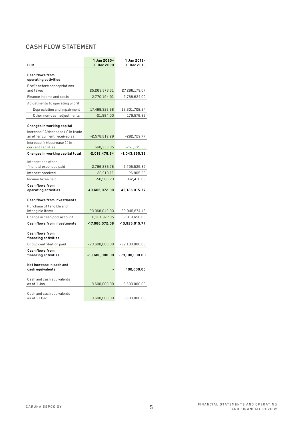### **CASH FLOW STATEMENT**

| <b>EUR</b>                                                         | 1 Jan 2020-<br>31 Dec 2020 | 1 Jan 2019-<br>31 Dec 2019 |
|--------------------------------------------------------------------|----------------------------|----------------------------|
| Cash flows from<br>operating activities                            |                            |                            |
| Profit before appropriations<br>and taxes                          | 25,263,573.31              | 27,296,179.07              |
| Finance income and costs                                           | 2.770.194.91               | 2,768,624.00               |
| Adjustments to operating profit                                    |                            |                            |
| Depreciation and impairment                                        | 17,488,326.68              | 16,331,708.54              |
| Other non-cash adjustments                                         | $-21,584.00$               | 179,576.86                 |
| Changes in working capital                                         |                            |                            |
| Increase (-)/decrease (+) in trade<br>an other current receivables | $-2,578,812.29$            | -292,729.77                |
| Increase (+)/decrease (-) in<br>current liabilities                | 560,333.35                 | -751,135.56                |
| Changes in working capital total                                   | $-2,018,478.94$            | -1,043,865.33              |
| Interest and other<br>financial expenses paid                      | $-2,786,286.76$            | $-2,795,529.39$            |
| Interest received                                                  | 20,913.11                  | 26,905.39                  |
| Income taxes paid                                                  | $-50,586.23$               | 362,416.63                 |
| Cash flows from<br>operating activities                            | 40,666,072.08              | 43,126,015.77              |
| <b>Cash flows from investments</b>                                 |                            |                            |
| Purchase of tangible and<br>intangible items                       | $-23,368,049.93$           | -22,945,674.42             |
| Change in cash pool account                                        | 6,301,977.85               | 9,019,658.65               |
| <b>Cash flows from investments</b>                                 | $-17,066,072.08$           | $-13,926,015.77$           |
| Cash flows from<br>financing activities                            |                            |                            |
| Group contribution paid                                            | $-23,600,000.00$           | $-29,100,000.00$           |
| Cash flows from<br>financing activities                            | $-23,600,000.00$           | $-29,100,000.00$           |
| Net increase in cash and<br>cash equivalents                       |                            | 100,000.00                 |
| Cash and cash equivalents<br>as at 1 Jan                           | 8,600,000.00               | 8,500,000.00               |
| Cash and cash equivalents<br>as at 31 Dec                          | 8,600,000.00               | 8,600,000.00               |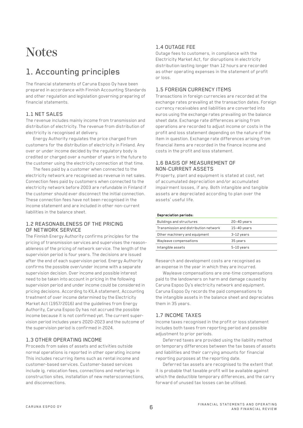## **Notes**

## 1. Accounting principles

The financial statements of Caruna Espoo Oy have been prepared in accordance with Finnish Accounting Standards and other regulation and legislation governing preparing of financial statements.

#### 1.1 NET SALES

The revenue includes mainly income from transmission and distribution of electricity. The revenue from distribution of electricity is recognised at delivery.

Energy Authority regulates the price charged from customers for the distribution of electricity in Finland. Any over or under income decided by the regulatory body is credited or charged over a number of years in the future to the customer using the electricity connection at that time.

The fees paid by a customer when connected to the electricity network are recognised as revenue in net sales. Connection fees paid by customers when connected to the electricity network before 2003 are refundable in Finland if the customer should ever disconnect the initial connection. These connection fees have not been recognised in the income statement and are included in other non-current liabilities in the balance sheet.

#### 1.2 REASONABLENESS OF THE PRICING OF NETWORK SERVICE

The Finnish Energy Authority confirms principles for the pricing of transmission services and supervises the reasonableness of the pricing of network service. The length of the supervision period is four years. The decisions are issued after the end of each supervision period. Energy Authority confirms the possible over/under income with a separate supervision decision. Over income and possible interest need to be taken into account in pricing in the following supervision period and under income could be considered in pricing decisions. According to KILA statement, Accounting treatment of over income determined by the Electricity Market Act (1957/2016) and the guidelines from Energy Authority, Caruna Espoo Oy has not accrued the possible income because it is not confirmed yet. The current supervision period includes years 2020-2023 and the outcome of the supervision period is confirmed in 2024.

#### 1.3 OTHER OPERATING INCOME

Proceeds from sales of assets and activities outside normal operations is reported in other operating income This includes recurring items such as rental income and customer-based services. Customer-based services include ig. relocation fees, connections and meterings in construction sites, installation of new metersconnections, and disconnections.

#### 1.4 OUTAGE FEE

Outage fees to customers, in compliance with the Electricity Market Act, for disruptions in electricity distribution lasting longer than 12 hours are recorded as other operating expenses in the statement of profit or loss.

#### 1.5 FOREIGN CURRENCY ITEMS

Transactions in foreign currencies are recorded at the exchange rates prevailing at the transaction dates. Foreign currency receivables and liabilities are converted into euros using the exchange rates prevailing on the balance sheet date. Exchange rate differences arising from operations are recorded to adjust income or costs in the profit and loss statement depending on the nature of the item in question. Exchange rate differences arising from financial items are recorded in the finance income and costs in the profit and loss statement.

#### 1.6 BASIS OF MEASUREMENT OF NON-CURRENT ASSETS

Property, plant and equipment is stated at cost, net of accumulated depreciation and/or accumulated impairment losses, if any. Both intangible and tangible assets are depreciated according to plan over the assets' useful life.

#### **Depreciation periods:**

| Buildings and structures              | $20-40$ years |
|---------------------------------------|---------------|
| Transmission and distribution network | $15-40$ years |
| Other machinery and equipment         | 3-12 years    |
| Wayleave compensations                | 35 years      |
| Intangible assets                     | 5-10 years    |
|                                       |               |

Research and development costs are recognised as an expense in the year in which they are incurred.

Wayleave compensations are one-time compensations paid to the landowners on harm and damage caused by Caruna Espoo Oy's electricity network and equipment. Caruna Espoo Oy records the paid compensations to the intangible assets in the balance sheet and depreciates them in 35 years.

#### 1.7 INCOME TAXES

Income taxes recognised in the profit or loss statement includes both taxes from reporting period and possible adjustment to prior periods.

Deferred taxes are provided using the liability method on temporary differences between the tax bases of assets and liabilities and their carrying amounts for financial reporting purposes at the reporting date.

Deferred tax assets are recognised to the extent that it is probable that taxable profit will be available against which the deductible temporary differences, and the carry forward of unused tax losses can be utilised.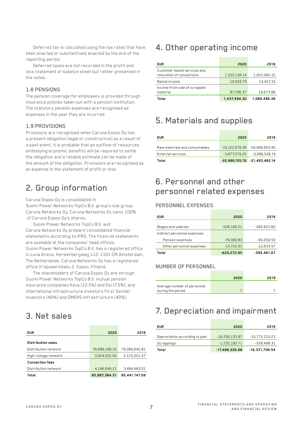Deferred tax is calculated using the tax rates that have been enacted or substantively enacted by the end of the reporting period.

Deferred taxes are not recorded in the profit and loss statement or balance sheet but rather presented in the notes.

#### 1.8 PENSIONS

The pension coverage for employees is provided through insurance policies taken out with a pension institution. The statutory pension expenses are recognised as expenses in the year they are incurred.

#### 1.9 PROVISIONS

Provisions are recognised when Caruna Espoo Oy has a present obligation (legal or constructive) as a result of a past event, it is probable that an outflow of resources embodying economic benefits will be required to settle the obligation and a reliable estimate can be made of the amount of the obligation. Provisions are recognised as an expense in the statement of profit or loss.

### 2. Group information

Caruna Espoo Oy is consolidated in Suomi Power Networks TopCo B.V. group's sub group Caruna Networks Oy. Caruna Networks Oy owns 100% of Caruna Espoo Oy's shares.

Suomi Power Networks TopCo B.V. and Caruna Networks Oy prepare consolidated financial statements according to IFRS. The financial statements are available at the companies' head offices. Suomi Power Networks TopCo B.V. has a registered office in Luna Arena, Herikerbergweg 112, 1101 CM Amsterdam, The Netherlands. Caruna Networks Oy has a registered office in Upseerinkatu 2, Espoo, Finland.

The shareholders of Caruna Espoo Oy are through Suomi Power Networks TopCo B.V. mutual pension insurance companies Keva (12,5%) and Elo (7,5%), and international infrastructure investors First Sentier Investors (40%) and OMERS Infrastructure (40%).

### 3. Net sales

| <b>EUR</b>                | 2020          | 2019          |
|---------------------------|---------------|---------------|
|                           |               |               |
| <b>Distribution sales</b> |               |               |
| Distribution network      | 78.686.186.25 | 79.384.642.81 |
| High-voltage network      | 3.054.552.05  | 2.572.021.27  |
| <b>Connection fees</b>    |               |               |
| Distribution network      | 4.146.646.21  | 3,484,483.01  |
| Total                     | 85.887.384.51 | 85,441,147.09 |

### 4. Other operating income

| <b>EUR</b>                                               | 2020         | 2019         |
|----------------------------------------------------------|--------------|--------------|
| Customer based services and<br>relocation of connections | 1,335,138.14 | 1,053,365.15 |
| Rental income                                            | 14,559.79    | 14,457.33    |
| Income from sale of scrapped<br>material                 | 87,796.37    | 18,673.88    |
| Total                                                    | 1,437,494,30 | 1.086.496.36 |

### 5. Materials and supplies

| <b>EUR</b>                    | 2020            | 2019                             |
|-------------------------------|-----------------|----------------------------------|
| Raw materials and consumables |                 | $-19.122.076.56 - 18.406.953.40$ |
| External services             | $-3.877.079.20$ | $-3.086.528.74$                  |
| Total                         |                 | $-22,999,155.76 - 21,493,482.14$ |

### 6. Personnel and other personnel related expenses

#### PERSONNEL EXPENSES

| <b>EUR</b>                  | 2020          | 2019          |
|-----------------------------|---------------|---------------|
|                             |               |               |
| Wages and salaries          | $-526,189.21$ | -492.623.60   |
| Indirect personnel expenses |               |               |
| Pension expenses            | $-79.360.83$  | $-90.204.50$  |
| Other personnel expenses    | $-14.722.91$  | $-12,633.57$  |
| Total                       | $-620,272.95$ | $-595.461.67$ |

#### NUMBER OF PERSONNEL

|                             | 2020 | 2019 |
|-----------------------------|------|------|
| Average number of personnel |      |      |
| during the period           |      |      |

### 7. Depreciation and impairment

| <b>EUR</b>                     | 2020             | 2019             |
|--------------------------------|------------------|------------------|
|                                |                  |                  |
| Depreciation according to plan | $-16,256,133.97$ | -15,772,210.23   |
| Scrappings                     | $-1,232,192.71$  | $-559,498.31$    |
| Total                          | $-17,488,326.68$ | $-16,331,708.54$ |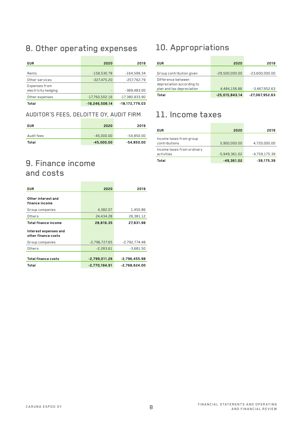### 8. Other operating expenses

| <b>EUR</b>                           | 2020                     | 2019             |
|--------------------------------------|--------------------------|------------------|
| Rents                                | $-158.530.78$            | $-164.599.34$    |
| Other services                       | $-327.475.20$            | -257,762.79      |
| Expenses from<br>electricity hedging | $\overline{\phantom{0}}$ | $-369,483.00$    |
| Other expenses                       | -17.760.502.16           | $-17.380.933.90$ |
| Total                                | $-18.246.508.14$         | -18.172.779.03   |

#### AUDITOR'S FEES, DELOITTE OY, AUDIT FIRM

| <b>EUR</b> | 2020         | 2019         |
|------------|--------------|--------------|
| Audit fees | $-45.000.00$ | $-54,850.00$ |
| Total      | $-45,000.00$ | $-54.850.00$ |

### 9. Finance income and costs

| <b>EUR</b>                                   | 2020            | 2019            |
|----------------------------------------------|-----------------|-----------------|
| Other interest and<br>finance income         |                 |                 |
| Group companies                              | 4,382.07        | 1,450.86        |
| Others                                       | 24,434,28       | 26,381.12       |
| Total finance income                         | 28,816,35       | 27,831.98       |
| Interest expenses and<br>other finance costs |                 |                 |
| Group companies                              | $-2,796,727.65$ | -2,792,774.48   |
| Others                                       | $-2.283.61$     | $-3.681.50$     |
| <b>Total finance costs</b>                   | $-2.799.011.26$ | $-2.796.455.98$ |
| Total                                        | $-2,770,194.91$ | $-2,768,624.00$ |

### 10. Appropriations

| <b>EUR</b>                                                                   | 2020             | 2019             |
|------------------------------------------------------------------------------|------------------|------------------|
| Group contribution given                                                     | $-29,500,000.00$ | $-23,600,000.00$ |
| Difference between<br>depreciation according to<br>plan and tax depreciation | 4,484,156.86     | $-3,467,952.63$  |
| Total                                                                        | $-25.015.843.14$ | $-27,067,952.63$ |

### 11. Income taxes

| <b>EUR</b>                               | 2020            | 2019            |
|------------------------------------------|-----------------|-----------------|
| Income taxes from group<br>contributions | 5,900,000.00    | 4,720,000.00    |
| Income taxes from ordinary<br>activities | $-5,949,361.02$ | $-4.759.175.39$ |
| Total                                    | $-49.361.02$    | $-39.175.39$    |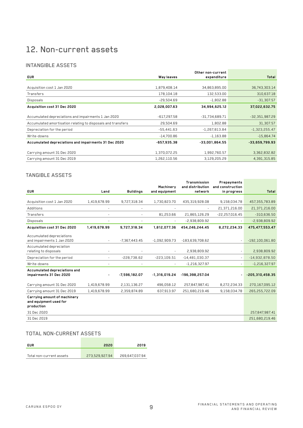### 12. Non-current assets

#### INTANGIBLE ASSETS

|                                                              |               | Other non-current |                  |
|--------------------------------------------------------------|---------------|-------------------|------------------|
| <b>EUR</b>                                                   | Way leaves    | expenditure       | Total            |
|                                                              |               |                   |                  |
| Acquisition cost 1 Jan 2020                                  | 1,879,408.14  | 34,863,895.00     | 36,743,303.14    |
| Transfers                                                    | 178,104.18    | 132,533.00        | 310,637.18       |
| <b>Disposals</b>                                             | $-29,504.69$  | $-1,802.88$       | $-31,307.57$     |
| Acquisition cost 31 Dec 2020                                 | 2,028,007.63  | 34,994,625.12     | 37,022,632.75    |
|                                                              |               |                   |                  |
| Accumulated depreciations and impairments 1 Jan 2020         | $-617,297.58$ | $-31,734,689.71$  | $-32,351,987.29$ |
| Accumulated amortisation relating to disposals and transfers | 29,504.69     | 1,802.88          | 31,307.57        |
| Depreciation for the period                                  | $-55,441.63$  | $-1,267,813.84$   | $-1,323,255.47$  |
| Write-downs                                                  | $-14,700.86$  | $-1,163.88$       | $-15,864.74$     |
| Accumulated depreciations and impairments 31 Dec 2020        | $-657,935.38$ | $-33,001,864.55$  | $-33,659,799.93$ |
| Carrying amount 31 Dec 2020                                  | 1,370,072.25  | 1,992,760.57      | 3,362,832.82     |
| Carrying amount 31 Dec 2019                                  | 1,262,110.56  | 3,129,205.29      | 4,391,315.85     |

#### TANGIBLE ASSETS

|                               |                          |                          |                          | Transmission             | Prepayments              |                   |
|-------------------------------|--------------------------|--------------------------|--------------------------|--------------------------|--------------------------|-------------------|
|                               |                          |                          | Machinery                | and distribution         | and construction         |                   |
| <b>EUR</b>                    | Land                     | <b>Buildings</b>         | and equipment            | network                  | in progress              | Total             |
|                               |                          |                          |                          |                          |                          |                   |
| Acquisition cost 1 Jan 2020   | 1,419,678.99             | 9,727,318.34             | 1,730,823,70             | 435.319.928.08           | 9,158,034.78             | 457,355,783.89    |
| Additions                     |                          | ۰                        |                          | $\overline{\phantom{a}}$ | 21,371,216.00            | 21,371,216.00     |
| Transfers                     | $\overline{\phantom{a}}$ | $\overline{\phantom{a}}$ | 81,253.66                | 21.865.126.29            | $-22,257,016.45$         | $-310,636.50$     |
| <b>Disposals</b>              |                          | $\overline{\phantom{a}}$ | $\overline{\phantom{a}}$ | $-2,938,809.92$          |                          | $-2,938,809.92$   |
| Acquisition cost 31 Dec 2020  | 1,419,678.99             | 9,727,318.34             | 1,812,077.36             | 454,246,244.45           | 8,272,234.33             | 475,477,553.47    |
| Accumulated depreciations     |                          |                          |                          |                          |                          |                   |
| and impairments 1 Jan 2020    | $\overline{\phantom{a}}$ | $-7.367.443.45$          | $-1,092,909.73$          | $-183.639.708.62$        |                          | $-192,100,061.80$ |
| Accumulated depreciation      |                          |                          |                          |                          |                          |                   |
| relating to disposals         |                          |                          | $\overline{\phantom{a}}$ | 2,938,809.92             | $\overline{\phantom{a}}$ | 2,938,809.92      |
| Depreciation for the period   | $\overline{\phantom{a}}$ | $-228,738.62$            | $-223.109.51$            | $-14,481,030.37$         | $\overline{\phantom{a}}$ | $-14,932,878.50$  |
| Write-downs                   | $\sim$                   | $\overline{\phantom{a}}$ | $\overline{\phantom{a}}$ | $-1,216,327.97$          | $\overline{\phantom{a}}$ | $-1,216,327.97$   |
| Accumulated depreciations and |                          |                          |                          |                          |                          |                   |
| impairments 31 Dec 2020       | $\overline{\phantom{a}}$ | $-7,596,182.07$          | $-1,316,019.24$          | -196,398,257.04          |                          | $-205,310,458.35$ |
| Carrying amount 31 Dec 2020   | 1,419,678.99             | 2,131,136.27             | 496,058.12               | 257,847,987.41           | 8,272,234.33             | 270,167,095.12    |
| Carrying amount 31 Dec 2019   | 1,419,678.99             | 2,359,874.89             | 637,913.97               | 251.680.219.46           | 9,158,034.78             | 265.255.722.09    |
| Carrying amount of machinery  |                          |                          |                          |                          |                          |                   |
| and equipment used for        |                          |                          |                          |                          |                          |                   |
| production                    |                          |                          |                          |                          |                          |                   |
| 31 Dec 2020                   |                          |                          |                          |                          |                          | 257,847,987.41    |
| 31 Dec 2019                   |                          |                          |                          |                          |                          | 251,680,219.46    |

#### TOTAL NON-CURRENT ASSETS

| <b>FUR</b>               | 2020           | 2019           |
|--------------------------|----------------|----------------|
| Total non-current assets | 273,529,927.94 | 269,647,037.94 |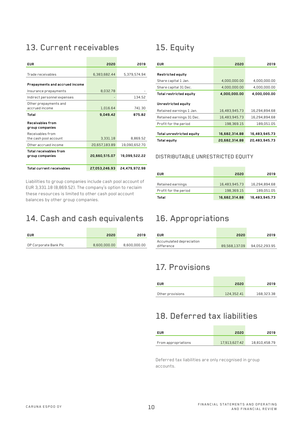### 13. Current receivables

| FUR                                              | 2020          | 2019          |
|--------------------------------------------------|---------------|---------------|
| Trade receivables                                | 6,383,682.44  | 5,379,574.94  |
| Prepayments and accrued income                   |               |               |
| Insurance prepayments                            | 8.032.78      |               |
| Indirect personnel expenses                      |               | 134.52        |
| Other prepayments and<br>accrued income          | 1,016.64      | 741.30        |
| Total                                            | 9,049.42      | 875.82        |
| Receivables from<br>group companies              |               |               |
| Receivables from<br>the cash pool account        | 3.331.18      | 8.869.52      |
| Other accrued income                             | 20,657,183.89 | 19,090,652.70 |
| <b>Total receivables from</b><br>group companies | 20.660.515.07 | 19,099,522,22 |
| <b>Total current receivables</b>                 | 27,053,246.93 | 24.479.972.98 |

Liabilities to group companies include cash pool account of EUR 3,331.18 (8,869.52). The company's option to reclaim these resources is limited to other cash pool account balances by other group companies.

### 14. Cash and cash equivalents 16. Appropriations

| <b>EUR</b>            | 2020         | 2019         |
|-----------------------|--------------|--------------|
|                       |              |              |
| OP Corporate Bank Plc | 8,600,000.00 | 8,600,000.00 |

## 15. Equity

| <b>EUR</b>                                      | 2020          | 2019          |
|-------------------------------------------------|---------------|---------------|
| Restricted equity                               |               |               |
| Share capital 1 Jan.                            | 4,000,000.00  | 4,000,000.00  |
| Share capital 31 Dec.                           | 4,000,000.00  | 4,000,000.00  |
| Total restricted equity                         | 4.000.000.00  | 4,000,000,00  |
| Unrestricted equity<br>Retained earnings 1 Jan. | 16,483,945.73 | 16,294,894.68 |
| Retained earnings 31 Dec.                       | 16,483,945.73 | 16,294,894.68 |
| Profit for the period                           | 198,369.15    | 189,051.05    |
| Total unrestricted equity                       | 16,682,314.88 | 16,483,945.73 |
| Total equity                                    | 20,682,314.88 | 20.483.945.73 |

#### DISTRIBUTABLE UNRESTRICTED EQUITY

| <b>EUR</b>            | 2020          | 2019          |
|-----------------------|---------------|---------------|
| Retained earnings     | 16,483,945.73 | 16,294,894.68 |
| Profit for the period | 198,369.15    | 189,051.05    |
| Total                 | 16,682,314.88 | 16,483,945.73 |

| EUR                      | 2020          | 2019          |
|--------------------------|---------------|---------------|
| Accumulated depreciation |               |               |
| difference               | 89.568.137.09 | 94.052.293.95 |

### 17. Provisions

| <b>EUR</b>       | 2020       | 2019       |
|------------------|------------|------------|
| Other provisions | 124,352.41 | 168,323.38 |

### 18. Deferred tax liabilities

| <b>EUR</b>          | 2020          | 2019          |
|---------------------|---------------|---------------|
| From appropriations | 17,913,627.42 | 18,810,458.79 |

Deferred tax liabilities are only recognised in group accounts.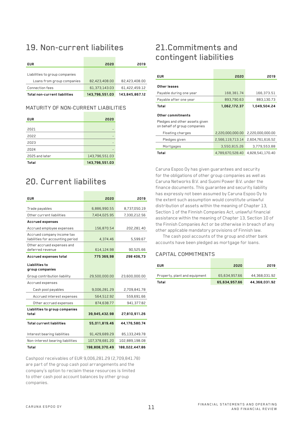### 19. Non-current liabilites

| <b>EUR</b>                     | 2020           | 2019           |
|--------------------------------|----------------|----------------|
| Liabilities to group companies |                |                |
| Loans from group companies     | 82,423,408,00  | 82.423.408.00  |
| Connection fees                | 61,373,143.03  | 61.422.459.12  |
| Total non-current liabilities  | 143,796,551.03 | 143.845.867.12 |

#### MATURITY OF NON-CURRENT LIABILITIES

| <b>EUR</b>     | 2020           |
|----------------|----------------|
|                |                |
| 2021           |                |
| 2022           |                |
| 2023           |                |
| 2024           |                |
| 2025 and later | 143,796,551.03 |
| Total          | 143,796,551.03 |

### 20. Current liabilites

| <b>EUR</b>                                                      | 2020           | 2019           |
|-----------------------------------------------------------------|----------------|----------------|
|                                                                 |                |                |
| Trade payables                                                  | 6,886,990.55   | 8,737,050.19   |
| Other current liabilities                                       | 7,404,025.95   | 7,330,212.56   |
| <b>Accrued expenses</b>                                         |                |                |
| Accrued employee expenses                                       | 156,870.54     | 202,281.40     |
| Accrued company income tax<br>liabilities for accounting period | 4,374.46       | 5,599.67       |
| Other accrued expenses and<br>deferred revenue                  | 614,124.98     | 90,525.66      |
| Accrued expenses total                                          | 775 369.98     | 298 406.73     |
| Liabilities to<br>group companies                               |                |                |
| Group contribution liability                                    | 29,500,000.00  | 23,600,000.00  |
| Accrued expenses                                                |                |                |
| Cash pool payables                                              | 9,006,281.29   | 2,709,841.78   |
| Accrued interest expenses                                       | 564,512.92     | 559,691.66     |
| Other accrued expenses                                          | 874,638.77     | 941,377.82     |
| Liabilities to group companies<br>total                         | 39,945,432.98  | 27,810,911.26  |
| <b>Total current liabilities</b>                                | 55,011,819.46  | 44,176,580.74  |
| Interest bearing liabilities                                    | 91,429,689.29  | 85,133,249.78  |
| Non-interest bearing liabilities                                | 107,378,681.20 | 102,889,198.08 |
| Total                                                           | 198.808.370.49 | 188.022.447.86 |

Cashpool receivables of EUR 9,006,281.29 (2,709,841.78) are part of the group cash pool arrangements and the company's option to reclaim these resources is limited to other cash pool account balances by other group companies.

### 21.Commitments and contingent liabilities

| <b>EUR</b>                                                                          | 2020             | 2019             |
|-------------------------------------------------------------------------------------|------------------|------------------|
| Other leases                                                                        |                  |                  |
| Payable during one year                                                             | 168,381.74       | 166,373.51       |
| Payable after one year                                                              | 893,790.63       | 883.130.73       |
| Total                                                                               | 1,062,172.37     | 1,049,504.24     |
| Other commitments<br>Pledges and other assets given<br>on behalf of group companies |                  |                  |
| Floating charges                                                                    | 2,220,000,000.00 | 2,220,000,000.00 |
| Pledges given                                                                       | 2,566,119,713.14 | 2,604,761,616.52 |
| Mortgages                                                                           | 3,550,815.26     | 3.779.553.88     |
| Total                                                                               | 4.789.670.528.40 | 4,828,541,170.40 |

Caruna Espoo Oy has given guarantees and security for the obligations of other group companies as well as Caruna Networks B.V. and Suomi Power B.V. under the finance documents. This guarantee and security liability has expressly not been assumed by Caruna Espoo Oy to the extent such assumption would constitute unlawful distribution of assets within the meaning of Chapter 13, Section 1 of the Finnish Companies Act, unlawful financial assistance within the meaning of Chapter 13, Section 10 of the Finnish Companies Act or be otherwise in breach of any other applicable mandatory provisions of Finnish law.

The cash pool accounts of the group and other bank accounts have been pledged as mortgage for loans.

#### CAPITAL COMMITMENTS

| <b>EUR</b>                    | 2020          | 2019          |
|-------------------------------|---------------|---------------|
|                               |               |               |
| Property, plant and equipment | 65.634.957.66 | 44.368.031.92 |
| Total                         | 65.634.957.66 | 44,368,031.92 |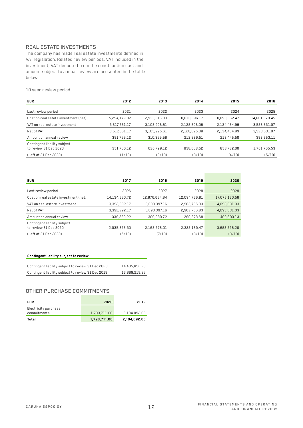#### REAL ESTATE INVESTMENTS

The company has made real estate investments defined in VAT legislation. Related review periods, VAT included in the investment, VAT deducted from the construction cost and amount subject to annual review are presented in the table below.

10 year review period

| <b>EUR</b>                                            | 2012          | 2013          | 2014         | 2015         | 2016          |
|-------------------------------------------------------|---------------|---------------|--------------|--------------|---------------|
|                                                       |               |               |              |              |               |
| Last review period                                    | 2021          | 2022          | 2023         | 2024         | 2025          |
| Cost on real estate investment (net)                  | 15,294,179.02 | 12.933.315.03 | 8.870.396.17 | 8.893.562.47 | 14,681,379.45 |
| VAT on real estate investment                         | 3,517,661.17  | 3.103.995.61  | 2.128.895.08 | 2.134.454.99 | 3,523,531.07  |
| Net of VAT                                            | 3,517,661.17  | 3.103.995.61  | 2.128.895.08 | 2.134.454.99 | 3,523,531.07  |
| Amount on annual review                               | 351,766.12    | 310,399.56    | 212,889.51   | 213,445.50   | 352,353.11    |
| Contingent liability subject<br>to review 31 Dec 2020 | 351 766,12    | 620 799,12    | 638,668.52   | 853.782.00   | 1,761,765.53  |
| (Left at 31 Dec 2020)                                 | (1/10)        | (2/10)        | (3/10)       | (4/10)       | (5/10)        |

| <b>EUR</b>                                            | 2017          | 2018          | 2019          | 2020          |
|-------------------------------------------------------|---------------|---------------|---------------|---------------|
| Last review period                                    | 2026          | 2027          | 2028          | 2029          |
| Cost on real estate investment (net)                  | 14,134,550.72 | 12,876,654.84 | 12,094,736.81 | 17,075,130.56 |
| VAT on real estate investment                         | 3,392,292.17  | 3,090,397.16  | 2,902,736.83  | 4,098,031.33  |
| Net of VAT                                            | 3.392.292.17  | 3.090.397.16  | 2.902.736.83  | 4.098.031.33  |
| Amount on annual review                               | 339,229,22    | 309,039.72    | 290,273.68    | 409,803.13    |
| Contingent liability subject<br>to review 31 Dec 2020 | 2.035.375.30  | 2.163.278.01  | 2,322,189.47  | 3,688,228.20  |
| (Left at 31 Dec 2020)                                 | (6/10)        | (7/10)        | (8/10)        | (9/10)        |

#### **Contingent liability subject to review**

| Contingent liability subject to review 31 Dec 2020 | 14,435,852,28 |
|----------------------------------------------------|---------------|
| Contingent liability subject to review 31 Dec 2019 | 13,869,215.96 |

#### OTHER PURCHASE COMMITMENTS

| <b>EUR</b>                          | 2020         | 2019         |
|-------------------------------------|--------------|--------------|
| Electricity purchase<br>commitments | 1,793,711.00 | 2.104.092.00 |
| Total                               | 1.793.711.00 | 2,104,092,00 |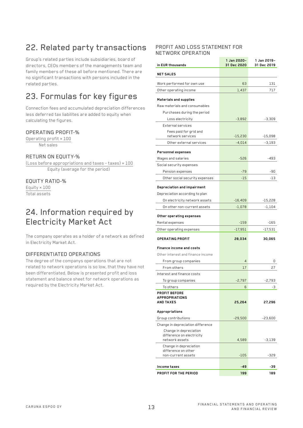## 22. Related party transactions

Group's related parties include subsidiaries, board of directors, CEOs members of the managements team and family members of these all before mentioned. There are no significant transactions with persons included in the related parties.

### 23. Formulas for key figures

Connection fees and accumulated depreciation differences less deferred tax liabilites are added to equity when calculating the figures.

#### OPERATING PROFIT-%

Operating profit × 100 Net sales

#### RETURN ON EQUITY-%

(Loss before appropriations and taxes - taxes) × 100 Equity (average for the period)

#### EQUITY RATIO-%

Equity × 100 Total assets

### 24. Information required by Electricity Market Act

The company operates as a holder of a network as defined in Electricity Market Act.

#### DIFFERENTIATED OPERATIONS

The degree of the companys operations that are not related to network operations is so low, that they have not been differentiated. Below is presented profit and loss statement and balance sheet for network operations as required by the Electricity Market Act.

#### PROFIT AND LOSS STATEMENT FOR NETWORK OPERATION

| in EUR thousands                              | 1 Jan 2020-<br>31 Dec 2020 | 1 Jan 2019-<br>31 Dec 2019 |
|-----------------------------------------------|----------------------------|----------------------------|
| <b>NET SALES</b>                              |                            |                            |
| Work performed for own use                    | 63                         | 131                        |
| Other operating income                        | 1,437                      | 717                        |
| Materials and supplies                        |                            |                            |
| Raw materials and consumables                 |                            |                            |
| Purchases during the period                   |                            |                            |
| Loss electricity                              | $-3.892$                   | $-3,309$                   |
| External services                             |                            |                            |
| Fees paid for grid and<br>network services    | $-15,230$                  | -15,098                    |
| Other external services                       | $-4,014$                   | $-3,193$                   |
| Personnel expenses                            |                            |                            |
| Wages and salaries                            | $-526$                     | -493                       |
| Social security expenses                      |                            |                            |
| Pension expenses                              | $-79$                      | -90                        |
| Other social security expenses                | $-15$                      | -13                        |
| Depreciation and impairment                   |                            |                            |
| Depreciation according to plan                |                            |                            |
| On electricity network assets                 | $-16,409$                  | -15,228                    |
| On other non-current assets                   | -1,078                     | -1,104                     |
| Other operating expenses                      |                            |                            |
| Rental expenses                               | $-159$                     | -165                       |
| Other operating expenses                      | -17,951                    | -17,531                    |
| <b>OPERATING PROFIT</b>                       | 28,034                     | 30,065                     |
| Finance income and costs                      |                            |                            |
| Other interest and finance income             |                            |                            |
| From group companies                          | $\overline{4}$             | 0                          |
| From others                                   | 17                         | 27                         |
| Interest and finance costs                    |                            |                            |
| To group companies                            | $-2,797$                   | $-2,793$                   |
| To others                                     | 6                          | -3                         |
| <b>PROFIT BEFORE</b><br><b>APPROPRIATIONS</b> |                            |                            |
| <b>AND TAXES</b>                              | 25,264                     | 27,296                     |
| Appropriations                                |                            |                            |
| Group contributions                           | $-29,500$                  | -23,600                    |
| Change in depreciation difference             |                            |                            |
| Change in depreciation                        |                            |                            |
| difference on electricity<br>network assets   | 4,589                      |                            |
| Change in depreciation                        |                            | -3,139                     |
| difference on other                           |                            |                            |
| non-current assets                            | $-105$                     | $-329$                     |
| Income taxes                                  | -49                        | -39                        |
| PROFIT FOR THE PERIOD                         | 199                        | 189                        |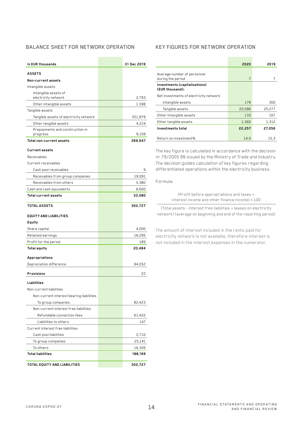#### BALANCE SHEET FOR NETWORK OPERATION

| in EUR thousands                                                | 31 Dec 2019 |
|-----------------------------------------------------------------|-------------|
| <b>ASSETS</b>                                                   |             |
| Non-current assets                                              |             |
| Intangible assets                                               |             |
| Intangible assets of                                            |             |
| electricity network                                             | 2,793       |
| Other intangible assets                                         | 1,598       |
| Tangible assets                                                 | 251,879     |
| Tangible assets of electricity network<br>Other tangible assets | 4,219       |
| Prepayments and construction in                                 |             |
| progress                                                        | 9,158       |
| Total non-current assets                                        | 269,647     |
| <b>Current assets</b>                                           |             |
| Receivables                                                     |             |
| Current receivables                                             |             |
| Cash pool receivables                                           | 9           |
| Receivables from group companies                                | 19,091      |
| Receivables from others                                         | 5,380       |
| Cash and cash equivalents                                       | 8,600       |
| <b>Total current assets</b>                                     | 33,080      |
| <b>TOTAL ASSETS</b>                                             | 302,727     |
| <b>EQUITY AND LIABILITIES</b>                                   |             |
| Equity                                                          |             |
| Share capital                                                   | 4,000       |
| Retained earnings                                               | 16,295      |
| Profit for the period                                           | 189         |
| <b>Total equity</b>                                             | 20,484      |
| Appropriations                                                  |             |
| Depreciation difference                                         | 94,052      |
| <b>Provisions</b>                                               | 22          |
| Liabilities                                                     |             |
| Non-current liabilities                                         |             |
| Non-current interest bearing liabilities                        |             |
| To group companies                                              | 82,423      |
| Non-current interest free liabilities                           |             |
| Refundable connection fees                                      | 61,422      |
| Liabilities to others                                           | 147         |
| Current interest free liabilities                               |             |
| Cash pool liabilities                                           | 2,710       |
| To group companies                                              | 25,141      |
| To others                                                       | 16,326      |
| <b>Total liabilities</b>                                        | 188,169     |
| TOTAL EQUITY AND LIABILITIES                                    | 302,727     |

#### KEY FIGURES FOR NETWORK OPERATION

|                                                  | 2020   | 2019   |
|--------------------------------------------------|--------|--------|
| Average number of personnel<br>during the period | 7      |        |
| Investments (capitalisations)<br>(EUR thousand): |        |        |
| Net investments of electricity network           |        |        |
| Intangible assets                                | 178    | 300    |
| Tangible assets                                  | 20,586 | 25,277 |
| Other intangible assets                          | 133    | 167    |
| Other tangible assets                            | 1,360  | 1,312  |
| Investments total                                | 22,257 | 27.056 |
| Return on investment%                            | 14.0   | 15.3   |

The key figure is calculated in accordance with the decision nr 79/2005 9§ issued by the Ministry of Trade and Industry. The decision guides calculation of key figures regarding differentiated operations within the electricity business.

Formula:

(Profit before appropriations and taxes + interest income and other finance income) × 100

(Total assets - interest free liabilities + leases on electricity network) (average on beginning and end of the reporting period)

The amount of interest included in the rents paid for electricity network is not available, therefore interest is not included in the interest expenses in the numerator.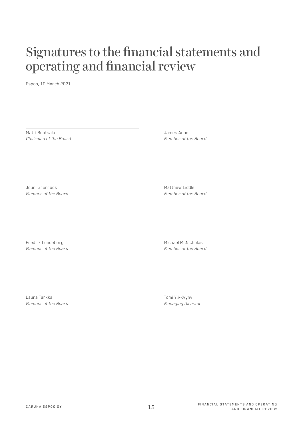## Signatures to the financial statements and operating and financial review

Espoo, 10 March 2021

Matti Ruotsala *Chairman of the Board* James Adam *Member of the Board*

Jouni Grönroos *Member of the Board* Matthew Liddle *Member of the Board*

Fredrik Lundeborg *Member of the Board* Michael McNicholas *Member of the Board*

Laura Tarkka *Member of the Board* Tomi Yli-Kyyny *Managing Director*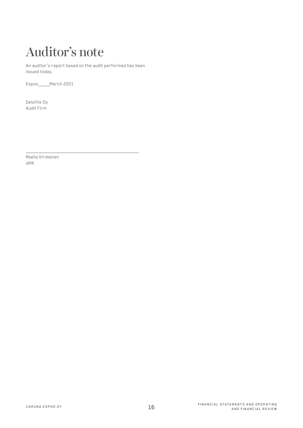# Auditor's note

An auditor's report based on the audit performed has been issued today.

Espoo March 2021

Deloitte Oy Audit Firm

Reeta Virolainen *APA*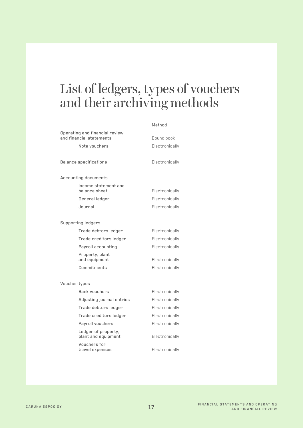## List of ledgers, types of vouchers and their archiving methods

Method

|                               | Operating and financial review<br>and financial statements | Bound book     |
|-------------------------------|------------------------------------------------------------|----------------|
|                               | Note vouchers                                              | Electronically |
| <b>Balance specifications</b> |                                                            | Electronically |
|                               | Accounting documents                                       |                |
|                               | Income statement and<br>balance sheet                      | Electronically |
|                               | General ledger                                             | Electronically |
|                               | Journal                                                    | Electronically |
|                               | Supporting ledgers                                         |                |
|                               | Trade debtors ledger                                       | Electronically |
|                               | Trade creditors ledger                                     | Electronically |
|                               | Payroll accounting                                         | Electronically |
|                               | Property, plant<br>and equipment                           | Electronically |
|                               | Commitments                                                | Electronically |
|                               | Voucher types                                              |                |
|                               | Bank vouchers                                              | Electronically |
|                               | Adjusting journal entries                                  | Electronically |
|                               | Trade debtors ledger                                       | Electronically |
|                               | Trade creditors ledger                                     | Electronically |
|                               | Payroll vouchers                                           | Electronically |
|                               | Ledger of property,<br>plant and equipment                 | Electronically |
|                               | Vouchers for<br>travel expenses                            | Electronically |